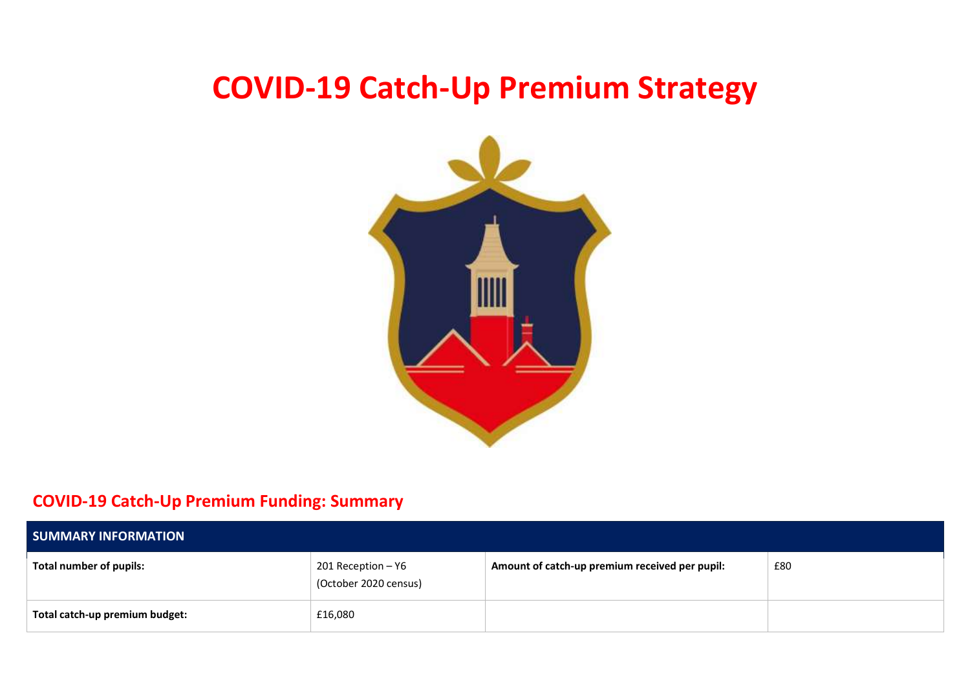# **COVID-19 Catch-Up Premium Strategy**



## **COVID-19 Catch-Up Premium Funding: Summary**

| <b>SUMMARY INFORMATION</b>     |                                             |                                                |     |  |  |
|--------------------------------|---------------------------------------------|------------------------------------------------|-----|--|--|
| Total number of pupils:        | 201 Reception - Y6<br>(October 2020 census) | Amount of catch-up premium received per pupil: | £80 |  |  |
| Total catch-up premium budget: | £16,080                                     |                                                |     |  |  |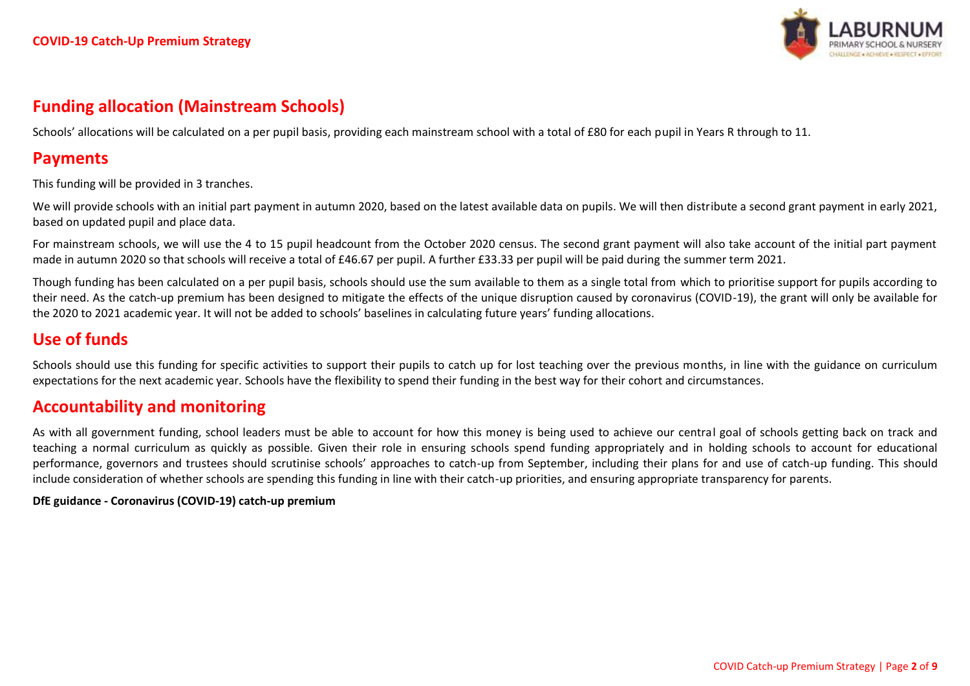

## **Funding allocation (Mainstream Schools)**

Schools' allocations will be calculated on a per pupil basis, providing each mainstream school with a total of £80 for each pupil in Years R through to 11.

## **Payments**

This funding will be provided in 3 tranches.

We will provide schools with an initial part payment in autumn 2020, based on the latest available data on pupils. We will then distribute a second grant payment in early 2021, based on updated pupil and place data.

For mainstream schools, we will use the 4 to 15 pupil headcount from the October 2020 census. The second grant payment will also take account of the initial part payment made in autumn 2020 so that schools will receive a total of £46.67 per pupil. A further £33.33 per pupil will be paid during the summer term 2021.

Though funding has been calculated on a per pupil basis, schools should use the sum available to them as a single total from which to prioritise support for pupils according to their need. As the catch-up premium has been designed to mitigate the effects of the unique disruption caused by coronavirus (COVID-19), the grant will only be available for the 2020 to 2021 academic year. It will not be added to schools' baselines in calculating future years' funding allocations.

## **Use of funds**

Schools should use this funding for specific activities to support their pupils to catch up for lost teaching over the previous months, in line with the guidance on curriculum expectations for the next academic year. Schools have the flexibility to spend their funding in the best way for their cohort and circumstances.

## **Accountability and monitoring**

As with all government funding, school leaders must be able to account for how this money is being used to achieve our central goal of schools getting back on track and teaching a normal curriculum as quickly as possible. Given their role in ensuring schools spend funding appropriately and in holding schools to account for educational performance, governors and trustees should scrutinise schools' approaches to catch-up from September, including their plans for and use of catch-up funding. This should include consideration of whether schools are spending this funding in line with their catch-up priorities, and ensuring appropriate transparency for parents.

#### **DfE guidance - Coronavirus (COVID-19) catch-up premium**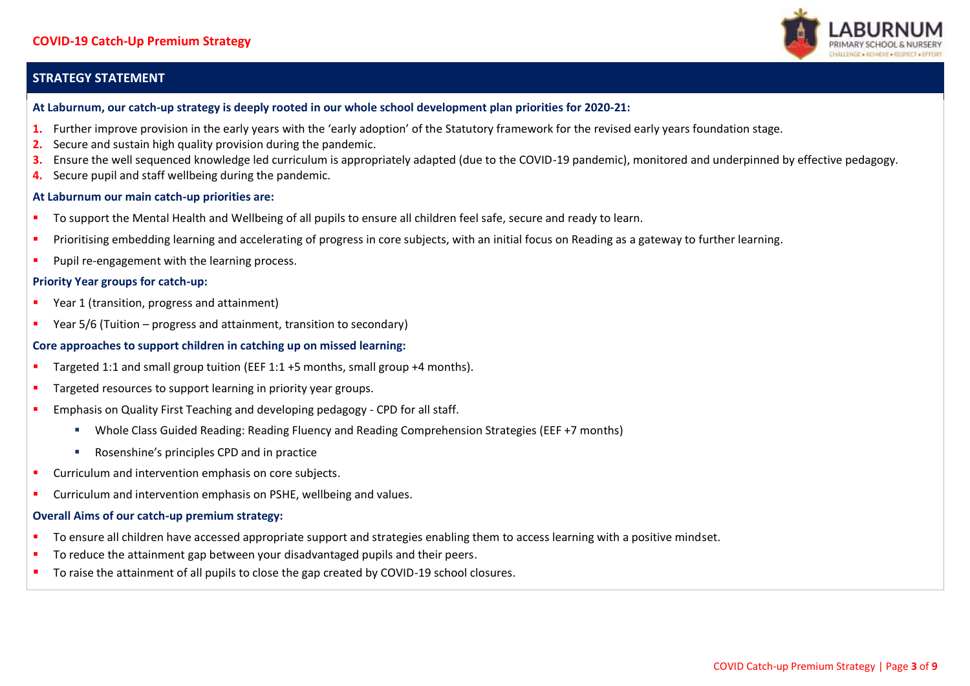#### **STRATEGY STATEMENT**



#### **At Laburnum, our catch-up strategy is deeply rooted in our whole school development plan priorities for 2020-21:**

- **1.** Further improve provision in the early years with the 'early adoption' of the Statutory framework for the revised early years foundation stage.
- **2.** Secure and sustain high quality provision during the pandemic.
- **3.** Ensure the well sequenced knowledge led curriculum is appropriately adapted (due to the COVID-19 pandemic), monitored and underpinned by effective pedagogy.
- **4.** Secure pupil and staff wellbeing during the pandemic.

#### **At Laburnum our main catch-up priorities are:**

- To support the Mental Health and Wellbeing of all pupils to ensure all children feel safe, secure and ready to learn.
- **Prioritising embedding learning and accelerating of progress in core subjects, with an initial focus on Reading as a gateway to further learning.**
- **Pupil re-engagement with the learning process.**

#### **Priority Year groups for catch-up:**

- **Paramage 1** (transition, progress and attainment)
- Year 5/6 (Tuition progress and attainment, transition to secondary)

#### **Core approaches to support children in catching up on missed learning:**

- **Targeted 1:1 and small group tuition (EEF 1:1 +5 months, small group +4 months).**
- **Targeted resources to support learning in priority year groups.**
- **Emphasis on Quality First Teaching and developing pedagogy CPD for all staff.** 
	- Whole Class Guided Reading: Reading Fluency and Reading Comprehension Strategies (EEF +7 months)
	- Rosenshine's principles CPD and in practice
- **Curriculum and intervention emphasis on core subjects.**
- **E** Curriculum and intervention emphasis on PSHE, wellbeing and values.

#### **Overall Aims of our catch-up premium strategy:**

- To ensure all children have accessed appropriate support and strategies enabling them to access learning with a positive mindset.
- To reduce the attainment gap between your disadvantaged pupils and their peers.
- To raise the attainment of all pupils to close the gap created by COVID-19 school closures.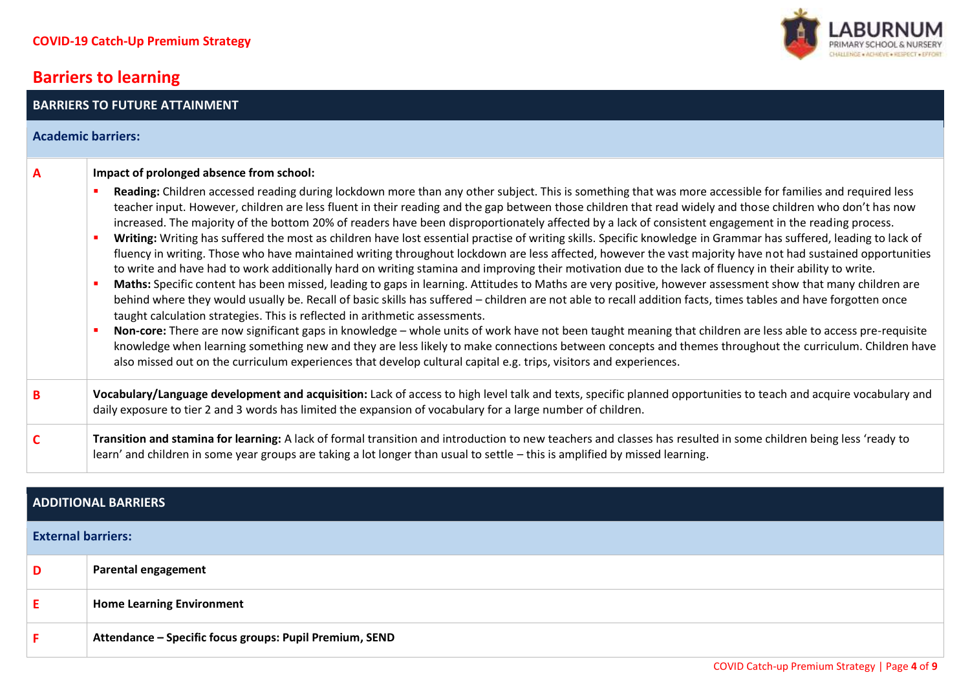**BARRIERS TO FUTURE ATTAINMENT**

### **Barriers to learning**



#### **ADDITIONAL BARRIERS**

#### **External barriers:**

| D | Parental engagement                                     |
|---|---------------------------------------------------------|
|   | <b>Home Learning Environment</b>                        |
|   | Attendance - Specific focus groups: Pupil Premium, SEND |

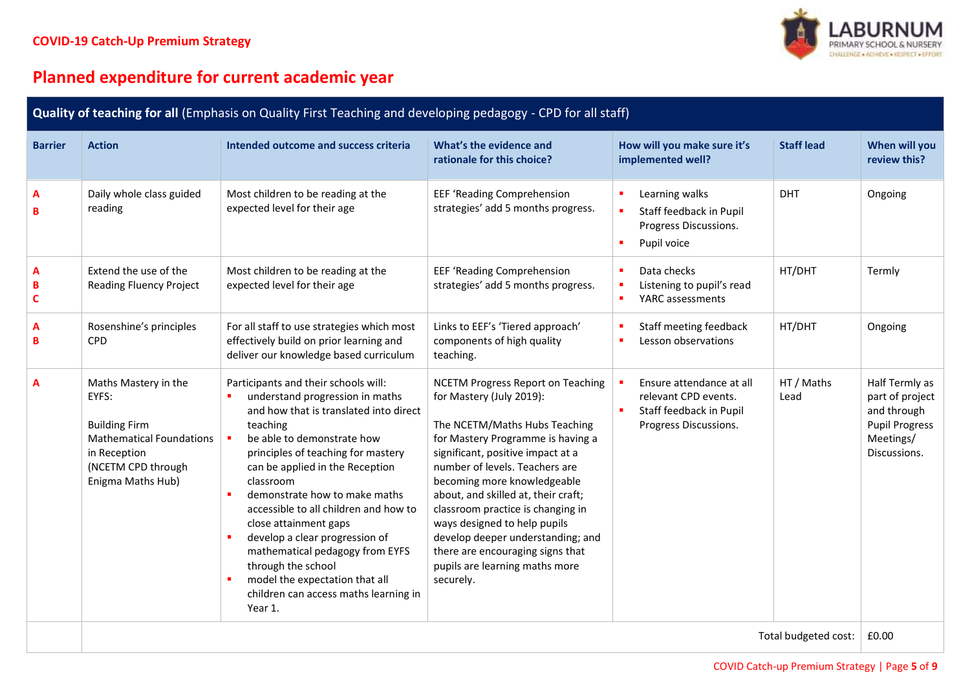

# **Planned expenditure for current academic year**

| Quality of teaching for all (Emphasis on Quality First Teaching and developing pedagogy - CPD for all staff) |                                                                                                                                                     |                                                                                                                                                                                                                                                                                                                                                                                                                                                                                                                                                                                |                                                                                                                                                                                                                                                                                                                                                                                                                                                                                      |                                                                                                                |                    |                                                                                                        |  |
|--------------------------------------------------------------------------------------------------------------|-----------------------------------------------------------------------------------------------------------------------------------------------------|--------------------------------------------------------------------------------------------------------------------------------------------------------------------------------------------------------------------------------------------------------------------------------------------------------------------------------------------------------------------------------------------------------------------------------------------------------------------------------------------------------------------------------------------------------------------------------|--------------------------------------------------------------------------------------------------------------------------------------------------------------------------------------------------------------------------------------------------------------------------------------------------------------------------------------------------------------------------------------------------------------------------------------------------------------------------------------|----------------------------------------------------------------------------------------------------------------|--------------------|--------------------------------------------------------------------------------------------------------|--|
| <b>Barrier</b>                                                                                               | <b>Action</b>                                                                                                                                       | Intended outcome and success criteria                                                                                                                                                                                                                                                                                                                                                                                                                                                                                                                                          | What's the evidence and<br>rationale for this choice?                                                                                                                                                                                                                                                                                                                                                                                                                                | How will you make sure it's<br>implemented well?                                                               | <b>Staff lead</b>  | When will you<br>review this?                                                                          |  |
| A<br>B                                                                                                       | Daily whole class guided<br>reading                                                                                                                 | Most children to be reading at the<br>expected level for their age                                                                                                                                                                                                                                                                                                                                                                                                                                                                                                             | EEF 'Reading Comprehension<br>strategies' add 5 months progress.                                                                                                                                                                                                                                                                                                                                                                                                                     | Learning walks<br>٠<br>$\blacksquare$<br>Staff feedback in Pupil<br>Progress Discussions.<br>Pupil voice<br>٠  | <b>DHT</b>         | Ongoing                                                                                                |  |
| A<br>B<br>C                                                                                                  | Extend the use of the<br><b>Reading Fluency Project</b>                                                                                             | Most children to be reading at the<br>expected level for their age                                                                                                                                                                                                                                                                                                                                                                                                                                                                                                             | EEF 'Reading Comprehension<br>strategies' add 5 months progress.                                                                                                                                                                                                                                                                                                                                                                                                                     | Data checks<br>٠<br>Listening to pupil's read<br>٠<br>YARC assessments<br>٠                                    | HT/DHT             | Termly                                                                                                 |  |
| A<br>B                                                                                                       | Rosenshine's principles<br><b>CPD</b>                                                                                                               | For all staff to use strategies which most<br>effectively build on prior learning and<br>deliver our knowledge based curriculum                                                                                                                                                                                                                                                                                                                                                                                                                                                | Links to EEF's 'Tiered approach'<br>components of high quality<br>teaching.                                                                                                                                                                                                                                                                                                                                                                                                          | Staff meeting feedback<br>٠<br>Lesson observations<br>٠                                                        | HT/DHT             | Ongoing                                                                                                |  |
| A                                                                                                            | Maths Mastery in the<br>EYFS:<br><b>Building Firm</b><br><b>Mathematical Foundations</b><br>in Reception<br>(NCETM CPD through<br>Enigma Maths Hub) | Participants and their schools will:<br>understand progression in maths<br>and how that is translated into direct<br>teaching<br>be able to demonstrate how<br>$\blacksquare$<br>principles of teaching for mastery<br>can be applied in the Reception<br>classroom<br>demonstrate how to make maths<br>×<br>accessible to all children and how to<br>close attainment gaps<br>develop a clear progression of<br>$\blacksquare$<br>mathematical pedagogy from EYFS<br>through the school<br>model the expectation that all<br>children can access maths learning in<br>Year 1. | <b>NCETM Progress Report on Teaching</b><br>for Mastery (July 2019):<br>The NCETM/Maths Hubs Teaching<br>for Mastery Programme is having a<br>significant, positive impact at a<br>number of levels. Teachers are<br>becoming more knowledgeable<br>about, and skilled at, their craft;<br>classroom practice is changing in<br>ways designed to help pupils<br>develop deeper understanding; and<br>there are encouraging signs that<br>pupils are learning maths more<br>securely. | Ensure attendance at all<br>л<br>relevant CPD events.<br>Staff feedback in Pupil<br>٠<br>Progress Discussions. | HT / Maths<br>Lead | Half Termly as<br>part of project<br>and through<br><b>Pupil Progress</b><br>Meetings/<br>Discussions. |  |
|                                                                                                              | Total budgeted cost:                                                                                                                                |                                                                                                                                                                                                                                                                                                                                                                                                                                                                                                                                                                                |                                                                                                                                                                                                                                                                                                                                                                                                                                                                                      |                                                                                                                | £0.00              |                                                                                                        |  |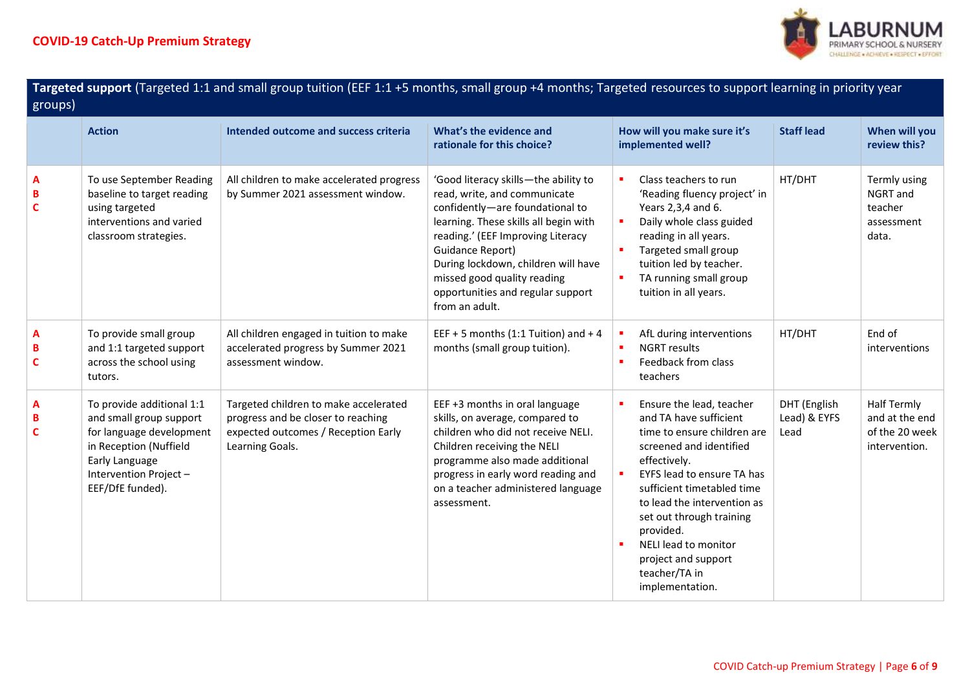

| Targeted support (Targeted 1:1 and small group tuition (EEF 1:1+5 months, small group +4 months; Targeted resources to support learning in priority year<br>$\overline{g}$ roups) |                                                                                                                                                                           |                                                                                                                                       |                                                                                                                                                                                                                                                                                                                                        |                                                                                                                                                                                                                                                                                                                                                                       |                                      |                                                                         |  |
|-----------------------------------------------------------------------------------------------------------------------------------------------------------------------------------|---------------------------------------------------------------------------------------------------------------------------------------------------------------------------|---------------------------------------------------------------------------------------------------------------------------------------|----------------------------------------------------------------------------------------------------------------------------------------------------------------------------------------------------------------------------------------------------------------------------------------------------------------------------------------|-----------------------------------------------------------------------------------------------------------------------------------------------------------------------------------------------------------------------------------------------------------------------------------------------------------------------------------------------------------------------|--------------------------------------|-------------------------------------------------------------------------|--|
|                                                                                                                                                                                   | <b>Action</b>                                                                                                                                                             | Intended outcome and success criteria                                                                                                 | What's the evidence and<br>rationale for this choice?                                                                                                                                                                                                                                                                                  | How will you make sure it's<br>implemented well?                                                                                                                                                                                                                                                                                                                      | <b>Staff lead</b>                    | When will you<br>review this?                                           |  |
| A<br>B<br>C                                                                                                                                                                       | To use September Reading<br>baseline to target reading<br>using targeted<br>interventions and varied<br>classroom strategies.                                             | All children to make accelerated progress<br>by Summer 2021 assessment window.                                                        | 'Good literacy skills-the ability to<br>read, write, and communicate<br>confidently-are foundational to<br>learning. These skills all begin with<br>reading.' (EEF Improving Literacy<br>Guidance Report)<br>During lockdown, children will have<br>missed good quality reading<br>opportunities and regular support<br>from an adult. | $\blacksquare$<br>Class teachers to run<br>'Reading fluency project' in<br>Years 2,3,4 and 6.<br>Daily whole class guided<br>٠<br>reading in all years.<br>Targeted small group<br>tuition led by teacher.<br>TA running small group<br>tuition in all years.                                                                                                         | HT/DHT                               | Termly using<br>NGRT and<br>teacher<br>assessment<br>data.              |  |
| A<br>B<br>C                                                                                                                                                                       | To provide small group<br>and 1:1 targeted support<br>across the school using<br>tutors.                                                                                  | All children engaged in tuition to make<br>accelerated progress by Summer 2021<br>assessment window.                                  | EEF + 5 months (1:1 Tuition) and + 4<br>months (small group tuition).                                                                                                                                                                                                                                                                  | AfL during interventions<br>×<br><b>NGRT</b> results<br>×<br>Feedback from class<br>×<br>teachers                                                                                                                                                                                                                                                                     | HT/DHT                               | End of<br>interventions                                                 |  |
| A<br>в<br>C                                                                                                                                                                       | To provide additional 1:1<br>and small group support<br>for language development<br>in Reception (Nuffield<br>Early Language<br>Intervention Project-<br>EEF/DfE funded). | Targeted children to make accelerated<br>progress and be closer to reaching<br>expected outcomes / Reception Early<br>Learning Goals. | EEF +3 months in oral language<br>skills, on average, compared to<br>children who did not receive NELI.<br>Children receiving the NELI<br>programme also made additional<br>progress in early word reading and<br>on a teacher administered language<br>assessment.                                                                    | Ensure the lead, teacher<br>and TA have sufficient<br>time to ensure children are<br>screened and identified<br>effectively.<br>EYFS lead to ensure TA has<br>sufficient timetabled time<br>to lead the intervention as<br>set out through training<br>provided.<br>NELI lead to monitor<br>$\blacksquare$<br>project and support<br>teacher/TA in<br>implementation. | DHT (English<br>Lead) & EYFS<br>Lead | <b>Half Termly</b><br>and at the end<br>of the 20 week<br>intervention. |  |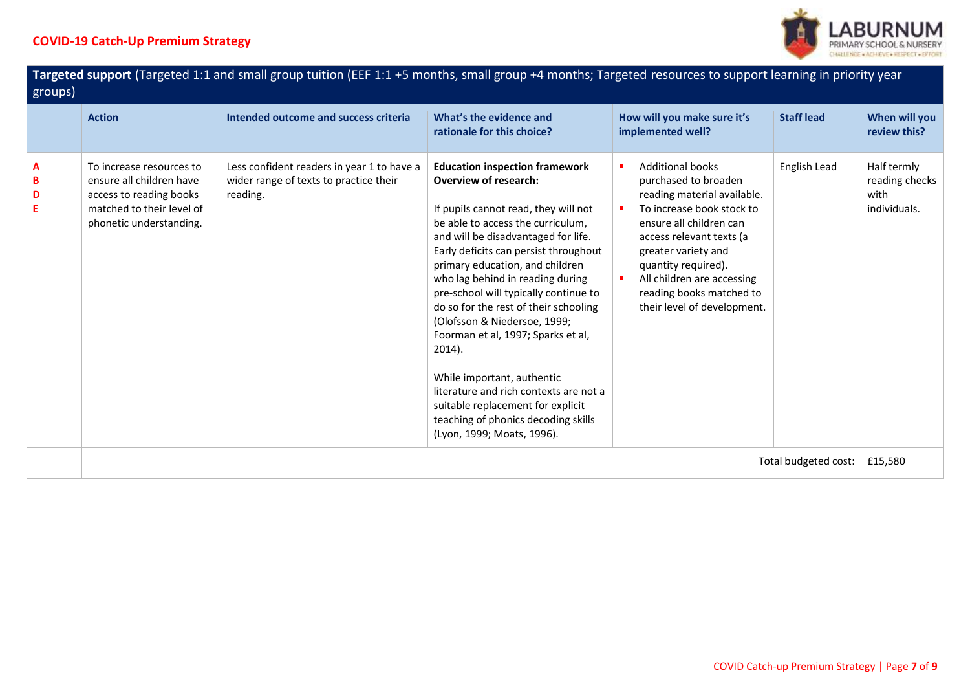

| Targeted support (Targeted 1:1 and small group tuition (EEF 1:1+5 months, small group +4 months; Targeted resources to support learning in priority year<br>groups) |                                                                                                                                         |                                                                                                  |                                                                                                                                                                                                                                                                                                                                                                                                                                                                                                                                                                                                                                                               |                                                                                                                                                                                                                                                                                                           |                      |                                                       |
|---------------------------------------------------------------------------------------------------------------------------------------------------------------------|-----------------------------------------------------------------------------------------------------------------------------------------|--------------------------------------------------------------------------------------------------|---------------------------------------------------------------------------------------------------------------------------------------------------------------------------------------------------------------------------------------------------------------------------------------------------------------------------------------------------------------------------------------------------------------------------------------------------------------------------------------------------------------------------------------------------------------------------------------------------------------------------------------------------------------|-----------------------------------------------------------------------------------------------------------------------------------------------------------------------------------------------------------------------------------------------------------------------------------------------------------|----------------------|-------------------------------------------------------|
|                                                                                                                                                                     | <b>Action</b>                                                                                                                           | Intended outcome and success criteria                                                            | What's the evidence and<br>rationale for this choice?                                                                                                                                                                                                                                                                                                                                                                                                                                                                                                                                                                                                         | How will you make sure it's<br>implemented well?                                                                                                                                                                                                                                                          | <b>Staff lead</b>    | When will you<br>review this?                         |
| A<br>В<br>D<br>Е                                                                                                                                                    | To increase resources to<br>ensure all children have<br>access to reading books<br>matched to their level of<br>phonetic understanding. | Less confident readers in year 1 to have a<br>wider range of texts to practice their<br>reading. | <b>Education inspection framework</b><br><b>Overview of research:</b><br>If pupils cannot read, they will not<br>be able to access the curriculum,<br>and will be disadvantaged for life.<br>Early deficits can persist throughout<br>primary education, and children<br>who lag behind in reading during<br>pre-school will typically continue to<br>do so for the rest of their schooling<br>(Olofsson & Niedersoe, 1999;<br>Foorman et al, 1997; Sparks et al,<br>2014).<br>While important, authentic<br>literature and rich contexts are not a<br>suitable replacement for explicit<br>teaching of phonics decoding skills<br>(Lyon, 1999; Moats, 1996). | <b>Additional books</b><br>purchased to broaden<br>reading material available.<br>To increase book stock to<br>ensure all children can<br>access relevant texts (a<br>greater variety and<br>quantity required).<br>All children are accessing<br>reading books matched to<br>their level of development. | English Lead         | Half termly<br>reading checks<br>with<br>individuals. |
|                                                                                                                                                                     |                                                                                                                                         |                                                                                                  |                                                                                                                                                                                                                                                                                                                                                                                                                                                                                                                                                                                                                                                               |                                                                                                                                                                                                                                                                                                           | Total budgeted cost: | £15,580                                               |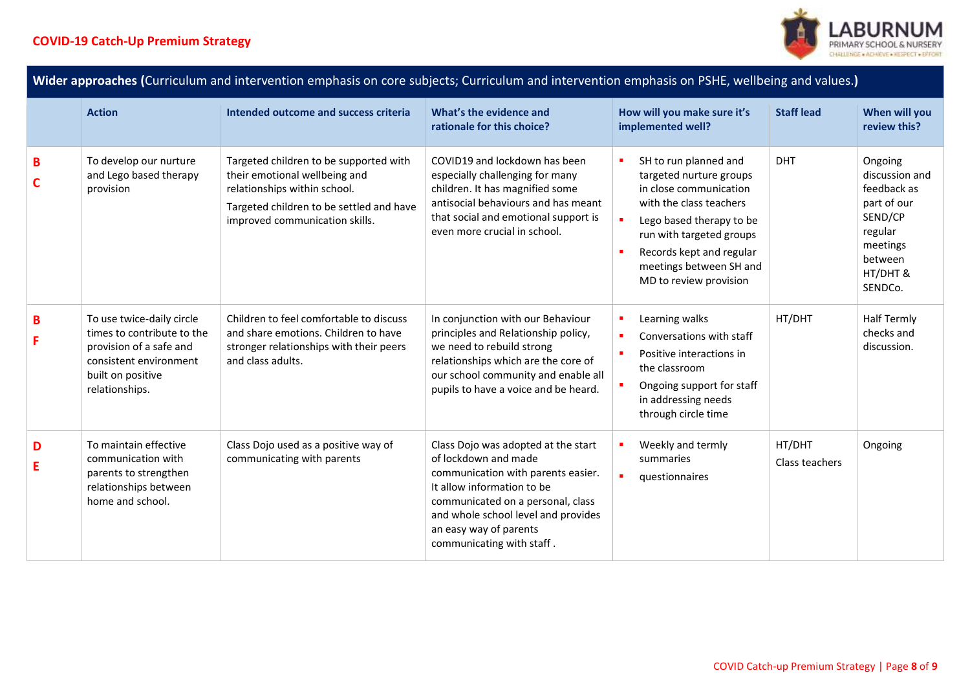

| Wider approaches (Curriculum and intervention emphasis on core subjects; Curriculum and intervention emphasis on PSHE, wellbeing and values.) |                                                                                                                                                     |                                                                                                                                                                                       |                                                                                                                                                                                                                                                                    |                                                                                                                                                                                                                                                                            |                          |                                                                                                                             |
|-----------------------------------------------------------------------------------------------------------------------------------------------|-----------------------------------------------------------------------------------------------------------------------------------------------------|---------------------------------------------------------------------------------------------------------------------------------------------------------------------------------------|--------------------------------------------------------------------------------------------------------------------------------------------------------------------------------------------------------------------------------------------------------------------|----------------------------------------------------------------------------------------------------------------------------------------------------------------------------------------------------------------------------------------------------------------------------|--------------------------|-----------------------------------------------------------------------------------------------------------------------------|
|                                                                                                                                               | <b>Action</b>                                                                                                                                       | Intended outcome and success criteria                                                                                                                                                 | What's the evidence and<br>rationale for this choice?                                                                                                                                                                                                              | How will you make sure it's<br>implemented well?                                                                                                                                                                                                                           | <b>Staff lead</b>        | When will you<br>review this?                                                                                               |
| B<br>C                                                                                                                                        | To develop our nurture<br>and Lego based therapy<br>provision                                                                                       | Targeted children to be supported with<br>their emotional wellbeing and<br>relationships within school.<br>Targeted children to be settled and have<br>improved communication skills. | COVID19 and lockdown has been<br>especially challenging for many<br>children. It has magnified some<br>antisocial behaviours and has meant<br>that social and emotional support is<br>even more crucial in school.                                                 | SH to run planned and<br>$\blacksquare$<br>targeted nurture groups<br>in close communication<br>with the class teachers<br>×<br>Lego based therapy to be<br>run with targeted groups<br>Records kept and regular<br>٠<br>meetings between SH and<br>MD to review provision | <b>DHT</b>               | Ongoing<br>discussion and<br>feedback as<br>part of our<br>SEND/CP<br>regular<br>meetings<br>between<br>HT/DHT &<br>SENDCo. |
| B                                                                                                                                             | To use twice-daily circle<br>times to contribute to the<br>provision of a safe and<br>consistent environment<br>built on positive<br>relationships. | Children to feel comfortable to discuss<br>and share emotions. Children to have<br>stronger relationships with their peers<br>and class adults.                                       | In conjunction with our Behaviour<br>principles and Relationship policy,<br>we need to rebuild strong<br>relationships which are the core of<br>our school community and enable all<br>pupils to have a voice and be heard.                                        | Learning walks<br>п<br>٠<br>Conversations with staff<br>Positive interactions in<br>$\blacksquare$<br>the classroom<br>Ongoing support for staff<br>in addressing needs<br>through circle time                                                                             | HT/DHT                   | <b>Half Termly</b><br>checks and<br>discussion.                                                                             |
| D<br>E                                                                                                                                        | To maintain effective<br>communication with<br>parents to strengthen<br>relationships between<br>home and school.                                   | Class Dojo used as a positive way of<br>communicating with parents                                                                                                                    | Class Dojo was adopted at the start<br>of lockdown and made<br>communication with parents easier.<br>It allow information to be<br>communicated on a personal, class<br>and whole school level and provides<br>an easy way of parents<br>communicating with staff. | Weekly and termly<br>summaries<br>questionnaires                                                                                                                                                                                                                           | HT/DHT<br>Class teachers | Ongoing                                                                                                                     |